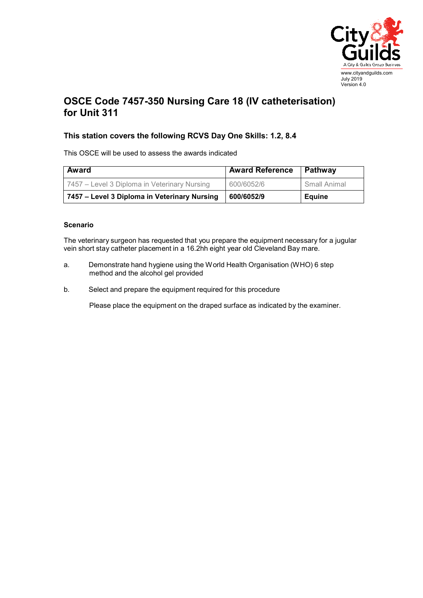

## **OSCE Code 7457-350 Nursing Care 18 (IV catheterisation) for Unit 311**

## **This station covers the following RCVS Day One Skills: 1.2, 8.4**

This OSCE will be used to assess the awards indicated

| Award                                        | <b>Award Reference</b> | Pathway      |
|----------------------------------------------|------------------------|--------------|
| 7457 – Level 3 Diploma in Veterinary Nursing | 600/6052/6             | Small Animal |
| 7457 – Level 3 Diploma in Veterinary Nursing | 600/6052/9             | Equine       |

## **Scenario**

The veterinary surgeon has requested that you prepare the equipment necessary for a jugular vein short stay catheter placement in a 16.2hh eight year old Cleveland Bay mare.

- a. Demonstrate hand hygiene using the World Health Organisation (WHO) 6 step method and the alcohol gel provided
- b. Select and prepare the equipment required for this procedure

Please place the equipment on the draped surface as indicated by the examiner.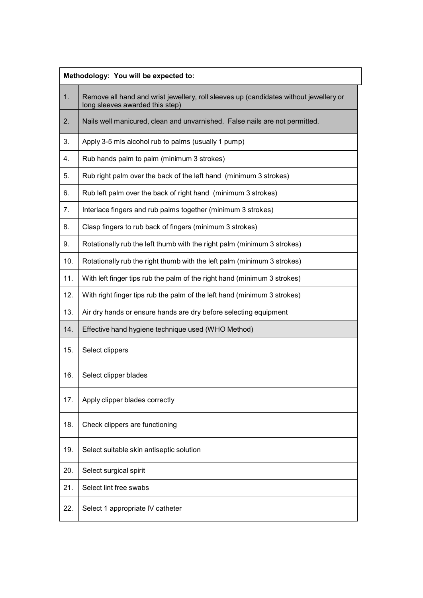| Methodology: You will be expected to: |                                                                                                                          |  |
|---------------------------------------|--------------------------------------------------------------------------------------------------------------------------|--|
| 1.                                    | Remove all hand and wrist jewellery, roll sleeves up (candidates without jewellery or<br>long sleeves awarded this step) |  |
| 2.                                    | Nails well manicured, clean and unvarnished. False nails are not permitted.                                              |  |
| 3.                                    | Apply 3-5 mls alcohol rub to palms (usually 1 pump)                                                                      |  |
| 4.                                    | Rub hands palm to palm (minimum 3 strokes)                                                                               |  |
| 5.                                    | Rub right palm over the back of the left hand (minimum 3 strokes)                                                        |  |
| 6.                                    | Rub left palm over the back of right hand (minimum 3 strokes)                                                            |  |
| 7.                                    | Interlace fingers and rub palms together (minimum 3 strokes)                                                             |  |
| 8.                                    | Clasp fingers to rub back of fingers (minimum 3 strokes)                                                                 |  |
| 9.                                    | Rotationally rub the left thumb with the right palm (minimum 3 strokes)                                                  |  |
| 10.                                   | Rotationally rub the right thumb with the left palm (minimum 3 strokes)                                                  |  |
| 11.                                   | With left finger tips rub the palm of the right hand (minimum 3 strokes)                                                 |  |
| 12.                                   | With right finger tips rub the palm of the left hand (minimum 3 strokes)                                                 |  |
| 13.                                   | Air dry hands or ensure hands are dry before selecting equipment                                                         |  |
| 14.                                   | Effective hand hygiene technique used (WHO Method)                                                                       |  |
| 15.                                   | Select clippers                                                                                                          |  |
| 16.                                   | Select clipper blades                                                                                                    |  |
| 17.                                   | Apply clipper blades correctly                                                                                           |  |
| 18.                                   | Check clippers are functioning                                                                                           |  |
| 19.                                   | Select suitable skin antiseptic solution                                                                                 |  |
| 20.                                   | Select surgical spirit                                                                                                   |  |
| 21.                                   | Select lint free swabs                                                                                                   |  |
| 22.                                   | Select 1 appropriate IV catheter                                                                                         |  |